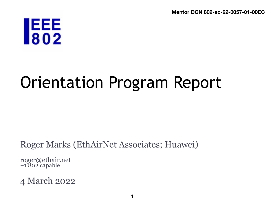**Mentor DCN 802-ec-22-0057-01-00EC**

# **JEEE**<br>802

## Orientation Program Report

#### Roger Marks (EthAirNet Associates; Huawei)

roger@ethair.net +1 802 capable

#### 4 March 2022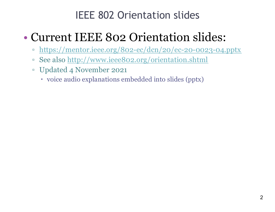## IEEE 802 Orientation slides

## • Current IEEE 802 Orientation slides:

- <https://mentor.ieee.org/802-ec/dcn/20/ec-20-0023-04.pptx>
- See als[o http://www.ieee802.org/orientation.shtm](http://www.ieee802.org/orientation.shtml)l
- Updated 4 November 2021
	- voice audio explanations embedded into slides (pptx)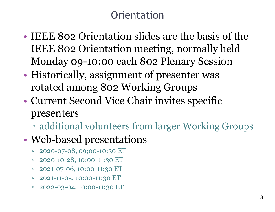## **Orientation**

- IEEE 802 Orientation slides are the basis of the IEEE 802 Orientation meeting, normally held Monday 09-10:00 each 802 Plenary Session
- Historically, assignment of presenter was rotated among 802 Working Groups
- Current Second Vice Chair invites specific presenters
	- additional volunteers from larger Working Groups

## • Web-based presentations

- 2020-07-08, 09;00-10:30 ET
- $\degree$  2020-10-28, 10:00-11:30 ET
- □ 2021-07-06, 10:00-11:30 ET
- □ 2021-11-05, 10:00-11:30 ET
- $\degree$  2022-03-04, 10:00-11:30 ET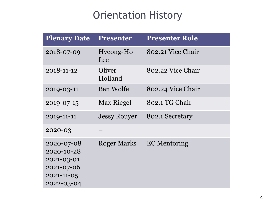## Orientation History

| <b>Plenary Date</b>                                                                    | <b>Presenter</b>    | <b>Presenter Role</b> |
|----------------------------------------------------------------------------------------|---------------------|-----------------------|
| 2018-07-09                                                                             | Hyeong-Ho<br>Lee    | 802.21 Vice Chair     |
| 2018-11-12                                                                             | Oliver<br>Holland   | 802.22 Vice Chair     |
| 2019-03-11                                                                             | Ben Wolfe           | 802.24 Vice Chair     |
| 2019-07-15                                                                             | <b>Max Riegel</b>   | 802.1 TG Chair        |
| 2019-11-11                                                                             | <b>Jessy Rouyer</b> | 802.1 Secretary       |
| 2020-03                                                                                |                     |                       |
| 2020-07-08<br>2020-10-28<br>2021-03-01<br>2021-07-06<br>$2021 - 11 - 05$<br>2022-03-04 | <b>Roger Marks</b>  | <b>EC</b> Mentoring   |